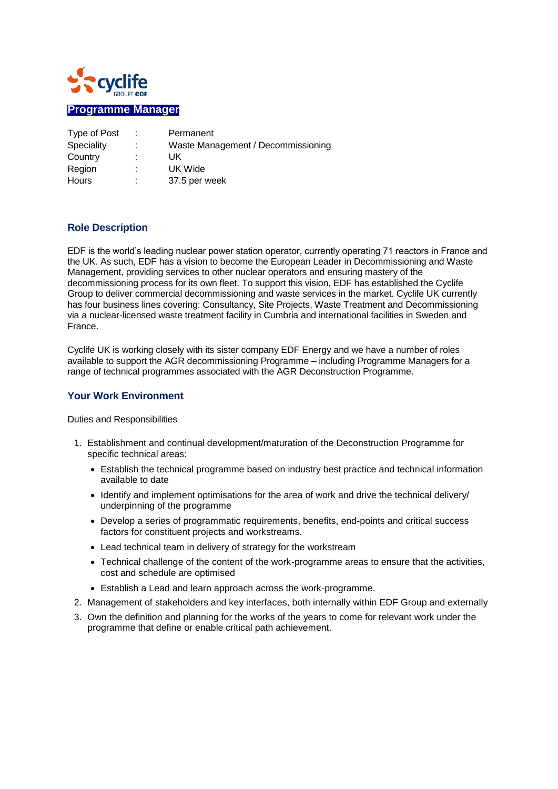

| Type of Post | ÷ | Permanent                          |
|--------------|---|------------------------------------|
| Speciality   |   | Waste Management / Decommissioning |
| Country      |   | UK                                 |
| Region       |   | UK Wide                            |
| Hours        |   | 37.5 per week                      |

## **Role Description**

EDF is the world's leading nuclear power station operator, currently operating 71 reactors in France and the UK. As such, EDF has a vision to become the European Leader in Decommissioning and Waste Management, providing services to other nuclear operators and ensuring mastery of the decommissioning process for its own fleet. To support this vision, EDF has established the Cyclife Group to deliver commercial decommissioning and waste services in the market. Cyclife UK currently has four business lines covering: Consultancy, Site Projects, Waste Treatment and Decommissioning via a nuclear-licensed waste treatment facility in Cumbria and international facilities in Sweden and France.

Cyclife UK is working closely with its sister company EDF Energy and we have a number of roles available to support the AGR decommissioning Programme – including Programme Managers for a range of technical programmes associated with the AGR Deconstruction Programme.

## **Your Work Environment**

Duties and Responsibilities

- 1. Establishment and continual development/maturation of the Deconstruction Programme for specific technical areas:
	- Establish the technical programme based on industry best practice and technical information available to date
	- Identify and implement optimisations for the area of work and drive the technical delivery/ underpinning of the programme
	- Develop a series of programmatic requirements, benefits, end-points and critical success factors for constituent projects and workstreams.
	- Lead technical team in delivery of strategy for the workstream
	- Technical challenge of the content of the work-programme areas to ensure that the activities, cost and schedule are optimised
	- Establish a Lead and learn approach across the work-programme.
- 2. Management of stakeholders and key interfaces, both internally within EDF Group and externally
- 3. Own the definition and planning for the works of the years to come for relevant work under the programme that define or enable critical path achievement.